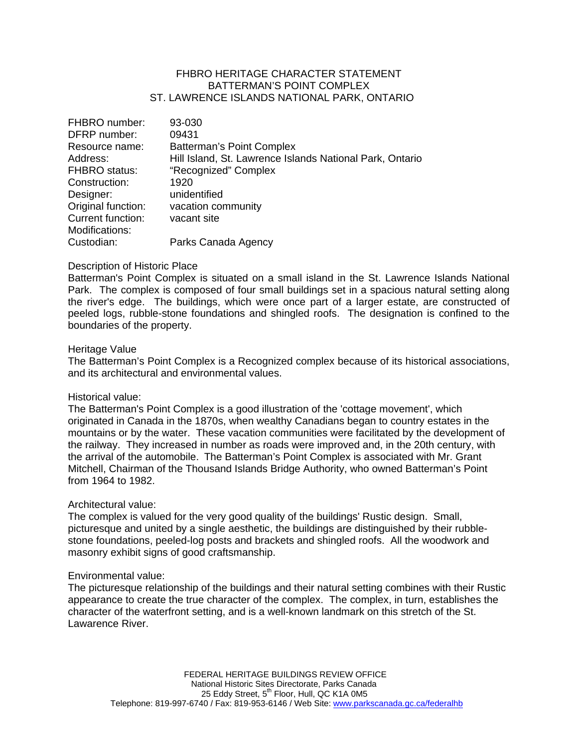# FHBRO HERITAGE CHARACTER STATEMENT BATTERMAN'S POINT COMPLEX ST. LAWRENCE ISLANDS NATIONAL PARK, ONTARIO

| FHBRO number:            | 93-030                                                   |
|--------------------------|----------------------------------------------------------|
| DFRP number:             | 09431                                                    |
| Resource name:           | <b>Batterman's Point Complex</b>                         |
| Address:                 | Hill Island, St. Lawrence Islands National Park, Ontario |
| <b>FHBRO</b> status:     | "Recognized" Complex                                     |
| Construction:            | 1920                                                     |
| Designer:                | unidentified                                             |
| Original function:       | vacation community                                       |
| <b>Current function:</b> | vacant site                                              |
| Modifications:           |                                                          |
| Custodian:               | Parks Canada Agency                                      |

## Description of Historic Place

Batterman's Point Complex is situated on a small island in the St. Lawrence Islands National Park. The complex is composed of four small buildings set in a spacious natural setting along the river's edge. The buildings, which were once part of a larger estate, are constructed of peeled logs, rubble-stone foundations and shingled roofs. The designation is confined to the boundaries of the property.

#### Heritage Value

The Batterman's Point Complex is a Recognized complex because of its historical associations, and its architectural and environmental values.

## Historical value:

The Batterman's Point Complex is a good illustration of the 'cottage movement', which originated in Canada in the 1870s, when wealthy Canadians began to country estates in the mountains or by the water. These vacation communities were facilitated by the development of the railway. They increased in number as roads were improved and, in the 20th century, with the arrival of the automobile. The Batterman's Point Complex is associated with Mr. Grant Mitchell, Chairman of the Thousand Islands Bridge Authority, who owned Batterman's Point from 1964 to 1982.

## Architectural value:

The complex is valued for the very good quality of the buildings' Rustic design. Small, picturesque and united by a single aesthetic, the buildings are distinguished by their rubblestone foundations, peeled-log posts and brackets and shingled roofs. All the woodwork and masonry exhibit signs of good craftsmanship.

#### Environmental value:

The picturesque relationship of the buildings and their natural setting combines with their Rustic appearance to create the true character of the complex. The complex, in turn, establishes the character of the waterfront setting, and is a well-known landmark on this stretch of the St. Lawarence River.